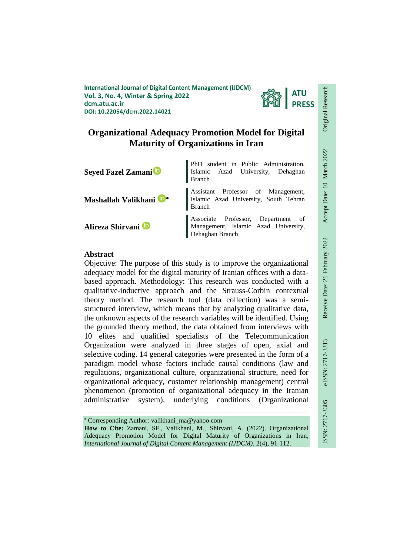**International Journal of Digital Content Management (IJDCM) Vol. 3, No. 4, Winter & Spring 2022 dcm.atu.ac.ir DOI: 10.22054/dcm.2022.14021**



# **Organizational Adequacy Promotion Model for Digital Maturity of Organizations in Iran**



## **Abstract**

Objective: The purpose of this study is to improve the organizational adequacy model for the digital maturity of Iranian offices with a databased approach. Methodology: This research was conducted with a qualitative-inductive approach and the Strauss-Corbin contextual theory method. The research tool (data collection) was a semistructured interview, which means that by analyzing qualitative data, the unknown aspects of the research variables will be identified. Using the grounded theory method, the data obtained from interviews with 10 elites and qualified specialists of the Telecommunication Organization were analyzed in three stages of open, axial and selective coding. 14 general categories were presented in the form of a paradigm model whose factors include causal conditions (law and regulations, organizational culture, organizational structure, need for organizational adequacy, customer relationship management) central phenomenon (promotion of organizational adequacy in the Iranian administrative system), underlying conditions (Organizational

ـــــــــــــــــــــــــــــــــــــــــــــــــــــــــــــــــــــــــــــــــــــــــــــــــــــــــــــــــــــــــــــ

Corresponding Author: valikhani\_ma@yahoo.com

**How to Cite:** Zamani, SF., Valikhani, M., Shirvani, A. (2022). Organizational Adequacy Promotion Model for Digital Maturity of Organizations in Iran, *International Journal of Digital Content Management (IJDCM)*, 2(4), 91-112.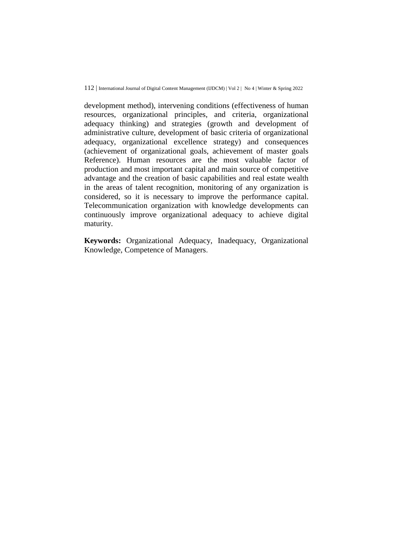development method), intervening conditions (effectiveness of human resources, organizational principles, and criteria, organizational adequacy thinking) and strategies (growth and development of administrative culture, development of basic criteria of organizational adequacy, organizational excellence strategy) and consequences (achievement of organizational goals, achievement of master goals Reference). Human resources are the most valuable factor of production and most important capital and main source of competitive advantage and the creation of basic capabilities and real estate wealth in the areas of talent recognition, monitoring of any organization is considered, so it is necessary to improve the performance capital. Telecommunication organization with knowledge developments can continuously improve organizational adequacy to achieve digital maturity.

**Keywords:** Organizational Adequacy, Inadequacy, Organizational Knowledge, Competence of Managers.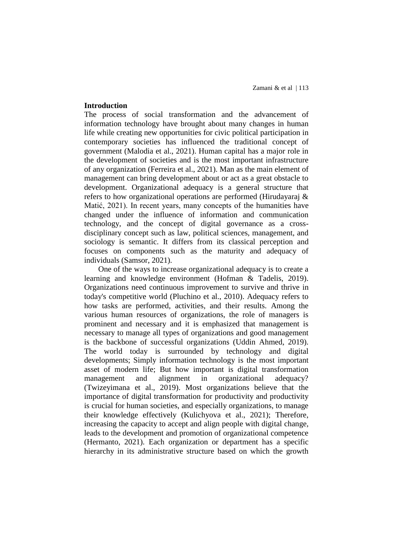## **Introduction**

The process of social transformation and the advancement of information technology have brought about many changes in human life while creating new opportunities for civic political participation in contemporary societies has influenced the traditional concept of government (Malodia et al., 2021). Human capital has a major role in the development of societies and is the most important infrastructure of any organization (Ferreira et al., 2021). Man as the main element of management can bring development about or act as a great obstacle to development. Organizational adequacy is a general structure that refers to how organizational operations are performed (Hirudayaraj & Matić, 2021). In recent years, many concepts of the humanities have changed under the influence of information and communication technology, and the concept of digital governance as a crossdisciplinary concept such as law, political sciences, management, and sociology is semantic. It differs from its classical perception and focuses on components such as the maturity and adequacy of individuals (Samsor, 2021).

One of the ways to increase organizational adequacy is to create a learning and knowledge environment (Hofman & Tadelis, 2019). Organizations need continuous improvement to survive and thrive in today's competitive world (Pluchino et al., 2010). Adequacy refers to how tasks are performed, activities, and their results. Among the various human resources of organizations, the role of managers is prominent and necessary and it is emphasized that management is necessary to manage all types of organizations and good management is the backbone of successful organizations (Uddin Ahmed, 2019). The world today is surrounded by technology and digital developments; Simply information technology is the most important asset of modern life; But how important is digital transformation management and alignment in organizational adequacy? (Twizeyimana et al., 2019). Most organizations believe that the importance of digital transformation for productivity and productivity is crucial for human societies, and especially organizations, to manage their knowledge effectively (Kulichyova et al., 2021); Therefore, increasing the capacity to accept and align people with digital change, leads to the development and promotion of organizational competence (Hermanto, 2021). Each organization or department has a specific hierarchy in its administrative structure based on which the growth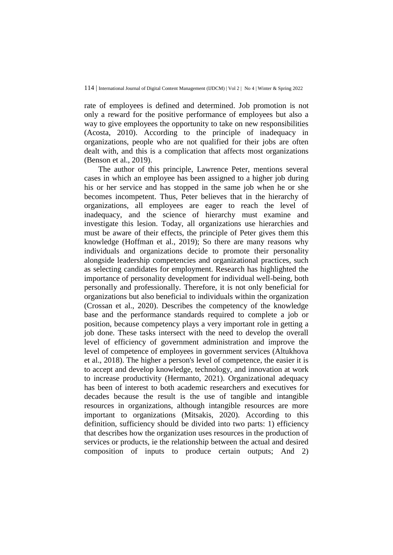rate of employees is defined and determined. Job promotion is not only a reward for the positive performance of employees but also a way to give employees the opportunity to take on new responsibilities (Acosta, 2010). According to the principle of inadequacy in organizations, people who are not qualified for their jobs are often dealt with, and this is a complication that affects most organizations (Benson et al., 2019).

The author of this principle, Lawrence Peter, mentions several cases in which an employee has been assigned to a higher job during his or her service and has stopped in the same job when he or she becomes incompetent. Thus, Peter believes that in the hierarchy of organizations, all employees are eager to reach the level of inadequacy, and the science of hierarchy must examine and investigate this lesion. Today, all organizations use hierarchies and must be aware of their effects, the principle of Peter gives them this knowledge (Hoffman et al., 2019); So there are many reasons why individuals and organizations decide to promote their personality alongside leadership competencies and organizational practices, such as selecting candidates for employment. Research has highlighted the importance of personality development for individual well-being, both personally and professionally. Therefore, it is not only beneficial for organizations but also beneficial to individuals within the organization (Crossan et al., 2020). Describes the competency of the knowledge base and the performance standards required to complete a job or position, because competency plays a very important role in getting a job done. These tasks intersect with the need to develop the overall level of efficiency of government administration and improve the level of competence of employees in government services (Altukhova et al., 2018). The higher a person's level of competence, the easier it is to accept and develop knowledge, technology, and innovation at work to increase productivity (Hermanto, 2021). Organizational adequacy has been of interest to both academic researchers and executives for decades because the result is the use of tangible and intangible resources in organizations, although intangible resources are more important to organizations (Mitsakis, 2020). According to this definition, sufficiency should be divided into two parts: 1) efficiency that describes how the organization uses resources in the production of services or products, ie the relationship between the actual and desired composition of inputs to produce certain outputs; And 2)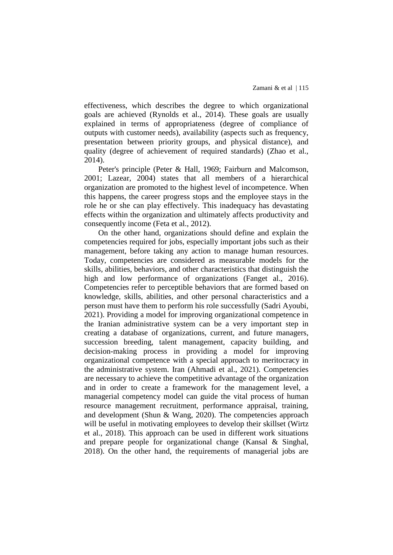effectiveness, which describes the degree to which organizational goals are achieved (Rynolds et al., 2014). These goals are usually explained in terms of appropriateness (degree of compliance of outputs with customer needs), availability (aspects such as frequency, presentation between priority groups, and physical distance), and quality (degree of achievement of required standards) (Zhao et al., 2014).

Peter's principle (Peter & Hall, 1969; Fairburn and Malcomson, 2001; Lazear, 2004) states that all members of a hierarchical organization are promoted to the highest level of incompetence. When this happens, the career progress stops and the employee stays in the role he or she can play effectively. This inadequacy has devastating effects within the organization and ultimately affects productivity and consequently income (Feta et al., 2012).

On the other hand, organizations should define and explain the competencies required for jobs, especially important jobs such as their management, before taking any action to manage human resources. Today, competencies are considered as measurable models for the skills, abilities, behaviors, and other characteristics that distinguish the high and low performance of organizations (Fanget al., 2016). Competencies refer to perceptible behaviors that are formed based on knowledge, skills, abilities, and other personal characteristics and a person must have them to perform his role successfully (Sadri Ayoubi, 2021). Providing a model for improving organizational competence in the Iranian administrative system can be a very important step in creating a database of organizations, current, and future managers, succession breeding, talent management, capacity building, and decision-making process in providing a model for improving organizational competence with a special approach to meritocracy in the administrative system. Iran (Ahmadi et al., 2021). Competencies are necessary to achieve the competitive advantage of the organization and in order to create a framework for the management level, a managerial competency model can guide the vital process of human resource management recruitment, performance appraisal, training, and development (Shun & Wang, 2020). The competencies approach will be useful in motivating employees to develop their skillset (Wirtz et al., 2018). This approach can be used in different work situations and prepare people for organizational change (Kansal & Singhal, 2018). On the other hand, the requirements of managerial jobs are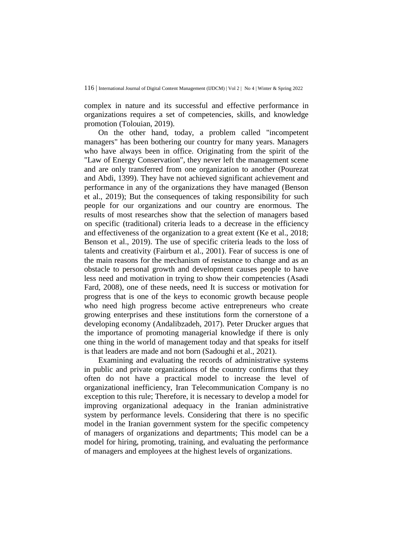complex in nature and its successful and effective performance in organizations requires a set of competencies, skills, and knowledge promotion (Tolouian, 2019).

On the other hand, today, a problem called "incompetent managers" has been bothering our country for many years. Managers who have always been in office. Originating from the spirit of the "Law of Energy Conservation", they never left the management scene and are only transferred from one organization to another (Pourezat and Abdi, 1399). They have not achieved significant achievement and performance in any of the organizations they have managed (Benson et al., 2019); But the consequences of taking responsibility for such people for our organizations and our country are enormous. The results of most researches show that the selection of managers based on specific (traditional) criteria leads to a decrease in the efficiency and effectiveness of the organization to a great extent (Ke et al., 2018; Benson et al., 2019). The use of specific criteria leads to the loss of talents and creativity (Fairburn et al., 2001). Fear of success is one of the main reasons for the mechanism of resistance to change and as an obstacle to personal growth and development causes people to have less need and motivation in trying to show their competencies (Asadi Fard, 2008), one of these needs, need It is success or motivation for progress that is one of the keys to economic growth because people who need high progress become active entrepreneurs who create growing enterprises and these institutions form the cornerstone of a developing economy (Andalibzadeh, 2017). Peter Drucker argues that the importance of promoting managerial knowledge if there is only one thing in the world of management today and that speaks for itself is that leaders are made and not born (Sadoughi et al., 2021).

Examining and evaluating the records of administrative systems in public and private organizations of the country confirms that they often do not have a practical model to increase the level of organizational inefficiency, Iran Telecommunication Company is no exception to this rule; Therefore, it is necessary to develop a model for improving organizational adequacy in the Iranian administrative system by performance levels. Considering that there is no specific model in the Iranian government system for the specific competency of managers of organizations and departments; This model can be a model for hiring, promoting, training, and evaluating the performance of managers and employees at the highest levels of organizations.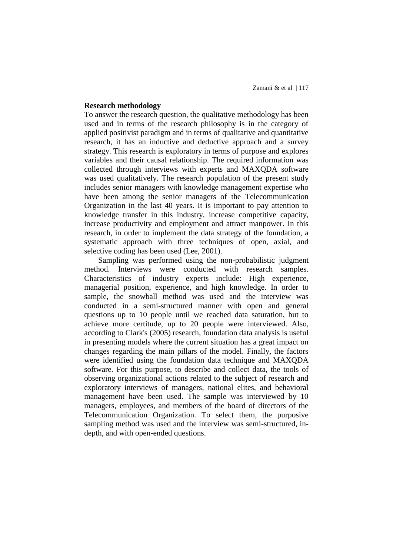## **Research methodology**

To answer the research question, the qualitative methodology has been used and in terms of the research philosophy is in the category of applied positivist paradigm and in terms of qualitative and quantitative research, it has an inductive and deductive approach and a survey strategy. This research is exploratory in terms of purpose and explores variables and their causal relationship. The required information was collected through interviews with experts and MAXQDA software was used qualitatively. The research population of the present study includes senior managers with knowledge management expertise who have been among the senior managers of the Telecommunication Organization in the last 40 years. It is important to pay attention to knowledge transfer in this industry, increase competitive capacity, increase productivity and employment and attract manpower. In this research, in order to implement the data strategy of the foundation, a systematic approach with three techniques of open, axial, and selective coding has been used (Lee, 2001).

Sampling was performed using the non-probabilistic judgment method. Interviews were conducted with research samples. Characteristics of industry experts include: High experience, managerial position, experience, and high knowledge. In order to sample, the snowball method was used and the interview was conducted in a semi-structured manner with open and general questions up to 10 people until we reached data saturation, but to achieve more certitude, up to 20 people were interviewed. Also, according to Clark's (2005) research, foundation data analysis is useful in presenting models where the current situation has a great impact on changes regarding the main pillars of the model. Finally, the factors were identified using the foundation data technique and MAXQDA software. For this purpose, to describe and collect data, the tools of observing organizational actions related to the subject of research and exploratory interviews of managers, national elites, and behavioral management have been used. The sample was interviewed by 10 managers, employees, and members of the board of directors of the Telecommunication Organization. To select them, the purposive sampling method was used and the interview was semi-structured, indepth, and with open-ended questions.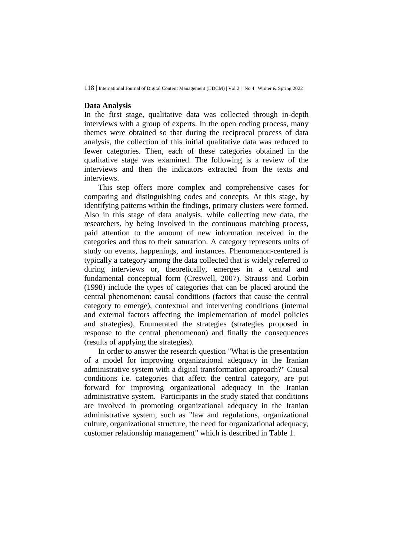### **Data Analysis**

In the first stage, qualitative data was collected through in-depth interviews with a group of experts. In the open coding process, many themes were obtained so that during the reciprocal process of data analysis, the collection of this initial qualitative data was reduced to fewer categories. Then, each of these categories obtained in the qualitative stage was examined. The following is a review of the interviews and then the indicators extracted from the texts and interviews.

This step offers more complex and comprehensive cases for comparing and distinguishing codes and concepts. At this stage, by identifying patterns within the findings, primary clusters were formed. Also in this stage of data analysis, while collecting new data, the researchers, by being involved in the continuous matching process, paid attention to the amount of new information received in the categories and thus to their saturation. A category represents units of study on events, happenings, and instances. Phenomenon-centered is typically a category among the data collected that is widely referred to during interviews or, theoretically, emerges in a central and fundamental conceptual form (Creswell, 2007). Strauss and Corbin (1998) include the types of categories that can be placed around the central phenomenon: causal conditions (factors that cause the central category to emerge), contextual and intervening conditions (internal and external factors affecting the implementation of model policies and strategies), Enumerated the strategies (strategies proposed in response to the central phenomenon) and finally the consequences (results of applying the strategies).

In order to answer the research question "What is the presentation of a model for improving organizational adequacy in the Iranian administrative system with a digital transformation approach?" Causal conditions i.e. categories that affect the central category, are put forward for improving organizational adequacy in the Iranian administrative system. Participants in the study stated that conditions are involved in promoting organizational adequacy in the Iranian administrative system, such as "law and regulations, organizational culture, organizational structure, the need for organizational adequacy, customer relationship management" which is described in Table 1.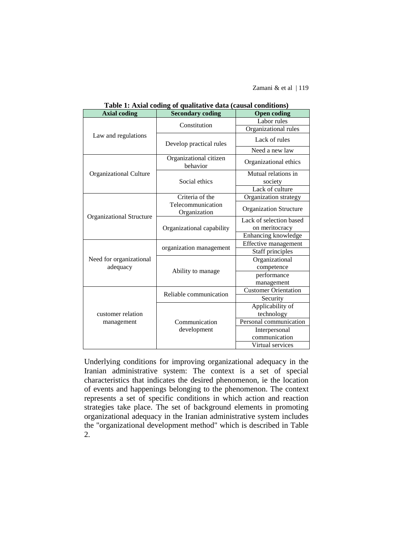Zamani & et al | 119

| <b>Axial coding</b>             | <b>Secondary coding</b>            | <b>Open coding</b>            |
|---------------------------------|------------------------------------|-------------------------------|
| Law and regulations             | Constitution                       | Labor rules                   |
|                                 |                                    | Organizational rules          |
|                                 | Develop practical rules            | Lack of rules                 |
|                                 |                                    | Need a new law                |
|                                 | Organizational citizen<br>behavior | Organizational ethics         |
| Organizational Culture          |                                    | Mutual relations in           |
|                                 | Social ethics                      | society                       |
|                                 |                                    | Lack of culture               |
|                                 | Criteria of the                    | Organization strategy         |
| Organizational Structure        | Telecommunication<br>Organization  | <b>Organization Structure</b> |
|                                 |                                    | Lack of selection based       |
|                                 | Organizational capability          | on meritocracy                |
|                                 |                                    | Enhancing knowledge           |
|                                 | organization management            | Effective management          |
|                                 |                                    | Staff principles              |
| Need for organizational         |                                    | Organizational                |
| adequacy                        | Ability to manage                  | competence                    |
|                                 |                                    | performance                   |
|                                 |                                    | management                    |
| customer relation<br>management | Reliable communication             | <b>Customer</b> Orientation   |
|                                 |                                    | Security                      |
|                                 |                                    | Applicability of              |
|                                 |                                    | technology                    |
|                                 | Communication                      | Personal communication        |
|                                 | development                        | Interpersonal                 |
|                                 |                                    | communication                 |
|                                 |                                    | Virtual services              |

**Table 1: Axial coding of qualitative data (causal conditions)**

Underlying conditions for improving organizational adequacy in the Iranian administrative system: The context is a set of special characteristics that indicates the desired phenomenon, ie the location of events and happenings belonging to the phenomenon. The context represents a set of specific conditions in which action and reaction strategies take place. The set of background elements in promoting organizational adequacy in the Iranian administrative system includes the "organizational development method" which is described in Table 2.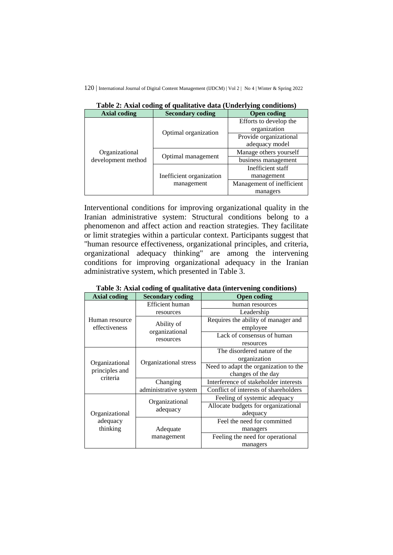| --- --<br>$\sim$ , $\sim$            |                          |                           |
|--------------------------------------|--------------------------|---------------------------|
| <b>Axial coding</b>                  | <b>Secondary coding</b>  | <b>Open coding</b>        |
| Organizational<br>development method | Optimal organization     | Efforts to develop the    |
|                                      |                          | organization              |
|                                      |                          | Provide organizational    |
|                                      |                          | adequacy model            |
|                                      | Optimal management       | Manage others yourself    |
|                                      |                          | business management       |
|                                      |                          | Inefficient staff         |
|                                      | Inefficient organization | management                |
|                                      | management               | Management of inefficient |
|                                      |                          | managers                  |

**Table 2: Axial coding of qualitative data (Underlying conditions)**

Interventional conditions for improving organizational quality in the Iranian administrative system: Structural conditions belong to a phenomenon and affect action and reaction strategies. They facilitate or limit strategies within a particular context. Participants suggest that "human resource effectiveness, organizational principles, and criteria, organizational adequacy thinking" are among the intervening conditions for improving organizational adequacy in the Iranian administrative system, which presented in Table 3.

| Table 3: Axial coding of qualitative data (intervening conditions) |  |  |  |  |
|--------------------------------------------------------------------|--|--|--|--|
|--------------------------------------------------------------------|--|--|--|--|

| <b>Axial coding</b>                          | <b>Secondary coding</b>                   | <b>Open coding</b>                    |
|----------------------------------------------|-------------------------------------------|---------------------------------------|
| Human resource<br>effectiveness              | Efficient human                           | human resources                       |
|                                              | resources                                 | Leadership                            |
|                                              | Ability of<br>organizational<br>resources | Requires the ability of manager and   |
|                                              |                                           | employee                              |
|                                              |                                           | Lack of consensus of human            |
|                                              |                                           | resources                             |
| Organizational<br>principles and<br>criteria | Organizational stress                     | The disordered nature of the          |
|                                              |                                           | organization                          |
|                                              |                                           | Need to adapt the organization to the |
|                                              |                                           | changes of the day                    |
|                                              | Changing                                  | Interference of stakeholder interests |
|                                              | administrative system                     | Conflict of interests of shareholders |
| Organizational<br>adequacy<br>thinking       | Organizational<br>adequacy                | Feeling of systemic adequacy          |
|                                              |                                           | Allocate budgets for organizational   |
|                                              |                                           | adequacy                              |
|                                              | Adequate<br>management                    | Feel the need for committed           |
|                                              |                                           | managers                              |
|                                              |                                           | Feeling the need for operational      |
|                                              |                                           | managers                              |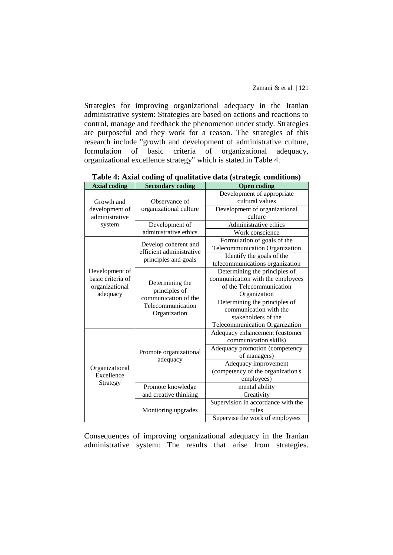Strategies for improving organizational adequacy in the Iranian administrative system: Strategies are based on actions and reactions to control, manage and feedback the phenomenon under study. Strategies are purposeful and they work for a reason. The strategies of this research include "growth and development of administrative culture, formulation of basic criteria of organizational adequacy, organizational excellence strategy" which is stated in Table 4.

| <b>Axial coding</b>                      | <b>Secondary coding</b>                                                                       | <b>Open coding</b>                 |
|------------------------------------------|-----------------------------------------------------------------------------------------------|------------------------------------|
|                                          |                                                                                               | Development of appropriate         |
| Growth and                               | Observance of                                                                                 | cultural values                    |
| development of                           | organizational culture                                                                        | Development of organizational      |
| administrative                           |                                                                                               | culture                            |
| system                                   | Development of                                                                                | Administrative ethics              |
|                                          | administrative ethics                                                                         | Work conscience                    |
|                                          | Develop coherent and<br>efficient administrative<br>principles and goals                      | Formulation of goals of the        |
|                                          |                                                                                               | Telecommunication Organization     |
|                                          |                                                                                               | Identify the goals of the          |
|                                          |                                                                                               | telecommunications organization    |
| Development of                           |                                                                                               | Determining the principles of      |
| basic criteria of                        |                                                                                               | communication with the employees   |
| organizational                           | Determining the<br>principles of<br>communication of the<br>Telecommunication<br>Organization | of the Telecommunication           |
| adequacy                                 |                                                                                               | Organization                       |
|                                          |                                                                                               | Determining the principles of      |
|                                          |                                                                                               | communication with the             |
|                                          |                                                                                               | stakeholders of the                |
|                                          |                                                                                               | Telecommunication Organization     |
|                                          | Promote organizational<br>adequacy                                                            | Adequacy enhancement (customer     |
|                                          |                                                                                               | communication skills)              |
| Organizational<br>Excellence<br>Strategy |                                                                                               | Adequacy promotion (competency     |
|                                          |                                                                                               | of managers)                       |
|                                          |                                                                                               | Adequacy improvement               |
|                                          |                                                                                               | (competency of the organization's  |
|                                          |                                                                                               | employees)                         |
|                                          | Promote knowledge                                                                             | mental ability                     |
|                                          | and creative thinking                                                                         | Creativity                         |
|                                          | Monitoring upgrades                                                                           | Supervision in accordance with the |
|                                          |                                                                                               | rules                              |
|                                          |                                                                                               | Supervise the work of employees    |

**Table 4: Axial coding of qualitative data (strategic conditions)**

Consequences of improving organizational adequacy in the Iranian administrative system: The results that arise from strategies.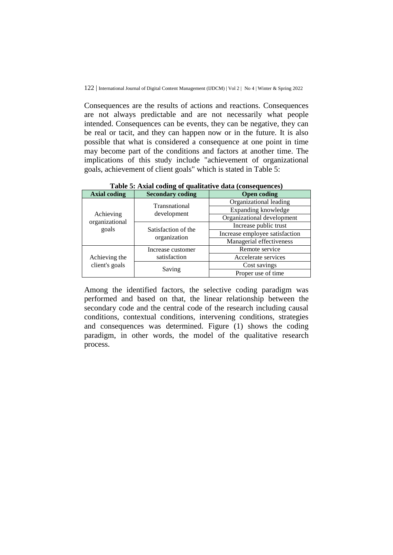Consequences are the results of actions and reactions. Consequences are not always predictable and are not necessarily what people intended. Consequences can be events, they can be negative, they can be real or tacit, and they can happen now or in the future. It is also possible that what is considered a consequence at one point in time may become part of the conditions and factors at another time. The implications of this study include "achievement of organizational goals, achievement of client goals" which is stated in Table 5:

| Those of Think country of qualitary $\alpha$ and $\alpha$ compequences, |                                     |                                |
|-------------------------------------------------------------------------|-------------------------------------|--------------------------------|
| <b>Axial coding</b>                                                     | <b>Secondary coding</b>             | <b>Open coding</b>             |
| Achieving<br>organizational<br>goals                                    | Transnational<br>development        | Organizational leading         |
|                                                                         |                                     | Expanding knowledge            |
|                                                                         |                                     | Organizational development     |
|                                                                         | Satisfaction of the<br>organization | Increase public trust          |
|                                                                         |                                     | Increase employee satisfaction |
|                                                                         |                                     | Managerial effectiveness       |
| Achieving the<br>client's goals                                         | Increase customer<br>satisfaction   | Remote service                 |
|                                                                         |                                     | Accelerate services            |
|                                                                         | Saving                              | Cost savings                   |
|                                                                         |                                     | Proper use of time             |

**Table 5: Axial coding of qualitative data (consequences)**

Among the identified factors, the selective coding paradigm was performed and based on that, the linear relationship between the secondary code and the central code of the research including causal conditions, contextual conditions, intervening conditions, strategies and consequences was determined. Figure (1) shows the coding paradigm, in other words, the model of the qualitative research process.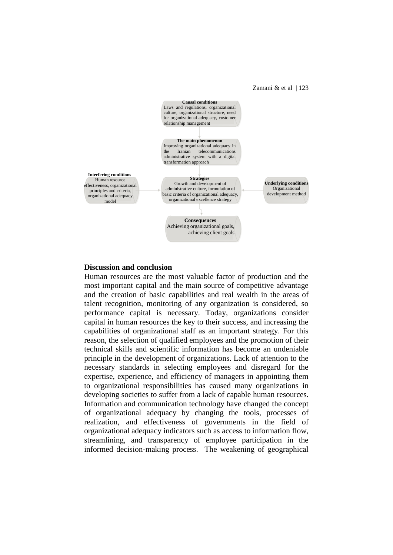Zamani  $&$  et al | 123



#### **Discussion and conclusion**

Human resources are the most valuable factor of production and the most important capital and the main source of competitive advantage and the creation of basic capabilities and real wealth in the areas of talent recognition, monitoring of any organization is considered, so performance capital is necessary. Today, organizations consider capital in human resources the key to their success, and increasing the capabilities of organizational staff as an important strategy. For this reason, the selection of qualified employees and the promotion of their technical skills and scientific information has become an undeniable principle in the development of organizations. Lack of attention to the necessary standards in selecting employees and disregard for the expertise, experience, and efficiency of managers in appointing them to organizational responsibilities has caused many organizations in developing societies to suffer from a lack of capable human resources. Information and communication technology have changed the concept of organizational adequacy by changing the tools, processes of realization, and effectiveness of governments in the field of organizational adequacy indicators such as access to information flow, streamlining, and transparency of employee participation in the informed decision-making process. The weakening of geographical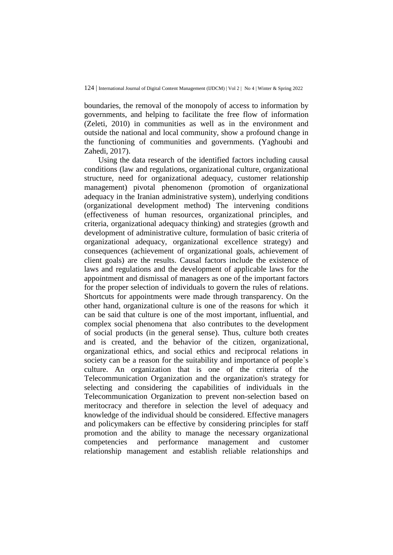boundaries, the removal of the monopoly of access to information by governments, and helping to facilitate the free flow of information (Zeleti, 2010) in communities as well as in the environment and outside the national and local community, show a profound change in the functioning of communities and governments. (Yaghoubi and Zahedi, 2017).

Using the data research of the identified factors including causal conditions (law and regulations, organizational culture, organizational structure, need for organizational adequacy, customer relationship management) pivotal phenomenon (promotion of organizational adequacy in the Iranian administrative system), underlying conditions (organizational development method) The intervening conditions (effectiveness of human resources, organizational principles, and criteria, organizational adequacy thinking) and strategies (growth and development of administrative culture, formulation of basic criteria of organizational adequacy, organizational excellence strategy) and consequences (achievement of organizational goals, achievement of client goals) are the results. Causal factors include the existence of laws and regulations and the development of applicable laws for the appointment and dismissal of managers as one of the important factors for the proper selection of individuals to govern the rules of relations. Shortcuts for appointments were made through transparency. On the other hand, organizational culture is one of the reasons for which it can be said that culture is one of the most important, influential, and complex social phenomena that also contributes to the development of social products (in the general sense). Thus, culture both creates and is created, and the behavior of the citizen, organizational, organizational ethics, and social ethics and reciprocal relations in society can be a reason for the suitability and importance of people`s culture. An organization that is one of the criteria of the Telecommunication Organization and the organization's strategy for selecting and considering the capabilities of individuals in the Telecommunication Organization to prevent non-selection based on meritocracy and therefore in selection the level of adequacy and knowledge of the individual should be considered. Effective managers and policymakers can be effective by considering principles for staff promotion and the ability to manage the necessary organizational competencies and performance management and customer relationship management and establish reliable relationships and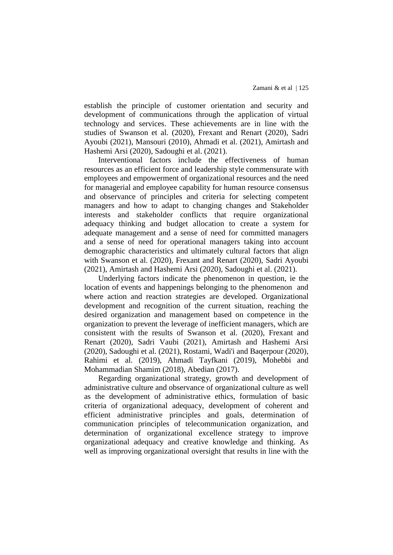establish the principle of customer orientation and security and development of communications through the application of virtual technology and services. These achievements are in line with the studies of Swanson et al. (2020), Frexant and Renart (2020), Sadri Ayoubi (2021), Mansouri (2010), Ahmadi et al. (2021), Amirtash and Hashemi Arsi (2020), Sadoughi et al. (2021).

Interventional factors include the effectiveness of human resources as an efficient force and leadership style commensurate with employees and empowerment of organizational resources and the need for managerial and employee capability for human resource consensus and observance of principles and criteria for selecting competent managers and how to adapt to changing changes and Stakeholder interests and stakeholder conflicts that require organizational adequacy thinking and budget allocation to create a system for adequate management and a sense of need for committed managers and a sense of need for operational managers taking into account demographic characteristics and ultimately cultural factors that align with Swanson et al. (2020), Frexant and Renart (2020), Sadri Ayoubi (2021), Amirtash and Hashemi Arsi (2020), Sadoughi et al. (2021).

Underlying factors indicate the phenomenon in question, ie the location of events and happenings belonging to the phenomenon and where action and reaction strategies are developed. Organizational development and recognition of the current situation, reaching the desired organization and management based on competence in the organization to prevent the leverage of inefficient managers, which are consistent with the results of Swanson et al. (2020), Frexant and Renart (2020), Sadri Vaubi (2021), Amirtash and Hashemi Arsi (2020), Sadoughi et al. (2021), Rostami, Wadi'i and Baqerpour (2020), Rahimi et al. (2019), Ahmadi Tayfkani (2019), Mohebbi and Mohammadian Shamim (2018), Abedian (2017).

Regarding organizational strategy, growth and development of administrative culture and observance of organizational culture as well as the development of administrative ethics, formulation of basic criteria of organizational adequacy, development of coherent and efficient administrative principles and goals, determination of communication principles of telecommunication organization, and determination of organizational excellence strategy to improve organizational adequacy and creative knowledge and thinking. As well as improving organizational oversight that results in line with the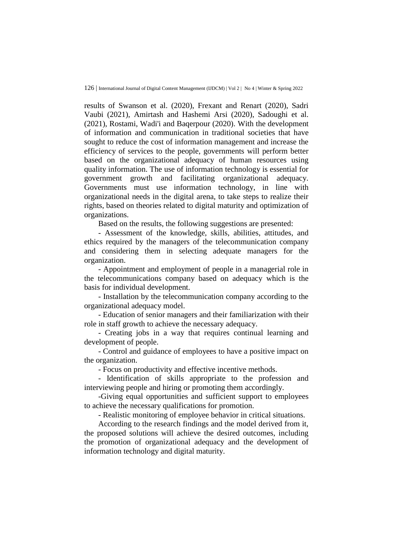results of Swanson et al. (2020), Frexant and Renart (2020), Sadri Vaubi (2021), Amirtash and Hashemi Arsi (2020), Sadoughi et al. (2021), Rostami, Wadi'i and Baqerpour (2020). With the development of information and communication in traditional societies that have sought to reduce the cost of information management and increase the efficiency of services to the people, governments will perform better based on the organizational adequacy of human resources using quality information. The use of information technology is essential for government growth and facilitating organizational adequacy. Governments must use information technology, in line with organizational needs in the digital arena, to take steps to realize their rights, based on theories related to digital maturity and optimization of organizations.

Based on the results, the following suggestions are presented:

- Assessment of the knowledge, skills, abilities, attitudes, and ethics required by the managers of the telecommunication company and considering them in selecting adequate managers for the organization.

- Appointment and employment of people in a managerial role in the telecommunications company based on adequacy which is the basis for individual development.

- Installation by the telecommunication company according to the organizational adequacy model.

- Education of senior managers and their familiarization with their role in staff growth to achieve the necessary adequacy.

- Creating jobs in a way that requires continual learning and development of people.

- Control and guidance of employees to have a positive impact on the organization.

- Focus on productivity and effective incentive methods.

- Identification of skills appropriate to the profession and interviewing people and hiring or promoting them accordingly.

-Giving equal opportunities and sufficient support to employees to achieve the necessary qualifications for promotion.

- Realistic monitoring of employee behavior in critical situations.

According to the research findings and the model derived from it, the proposed solutions will achieve the desired outcomes, including the promotion of organizational adequacy and the development of information technology and digital maturity.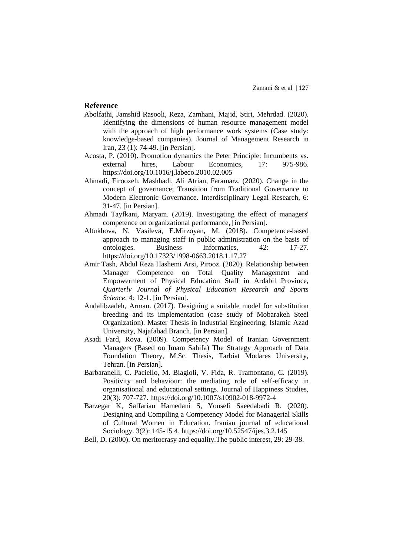#### **Reference**

- Abolfathi, Jamshid Rasooli, Reza, Zamhani, Majid, Stiri, Mehrdad. (2020). Identifying the dimensions of human resource management model with the approach of high performance work systems (Case study: knowledge-based companies). Journal of Management Research in Iran, 23 (1): 74-49. [in Persian].
- Acosta, P. (2010). Promotion dynamics the Peter Principle: Incumbents vs. external hires, Labour Economics, 17: 975-986. <https://doi.org/10.1016/j.labeco.2010.02.005>
- Ahmadi, Firoozeh. Mashhadi, Ali Atrian, Faramarz. (2020). Change in the concept of governance; Transition from Traditional Governance to Modern Electronic Governance. Interdisciplinary Legal Research, 6: 31-47. [in Persian].
- Ahmadi Tayfkani, Maryam. (2019). Investigating the effect of managers' competence on organizational performance, [in Persian].
- Altukhova, N. Vasileva, E.Mirzoyan, M. (2018). Competence-based approach to managing staff in public administration on the basis of ontologies. Business Informatics, 42: 17-27. <https://doi.org/10.17323/1998-0663.2018.1.17.27>
- Amir Tash, Abdul Reza Hashemi Arsi, Pirooz. (2020). Relationship between Manager Competence on Total Quality Management and Empowerment of Physical Education Staff in Ardabil Province, *Quarterly Journal of Physical Education Research and Sports Science,* 4: 12-1. [in Persian].
- Andalibzadeh, Arman. (2017). Designing a suitable model for substitution breeding and its implementation (case study of Mobarakeh Steel Organization). Master Thesis in Industrial Engineering, Islamic Azad University, Najafabad Branch. [in Persian].
- Asadi Fard, Roya. (2009). Competency Model of Iranian Government Managers (Based on Imam Sahifa) The Strategy Approach of Data Foundation Theory, M.Sc. Thesis, Tarbiat Modares University, Tehran. [in Persian].
- Barbaranelli, C. Paciello, M. Biagioli, V. Fida, R. Tramontano, C. (2019). Positivity and behaviour: the mediating role of self-efficacy in organisational and educational settings. Journal of Happiness Studies, 20(3): 707-727[.](https://doi.org/10.1007/s10902-018-9972-4) <https://doi.org/10.1007/s10902-018-9972-4>
- Barzegar K, Saffarian Hamedani S, Yousefi Saeedabadi R. (2020). Designing and Compiling a Competency Model for Managerial Skills of Cultural Women in Education. Iranian journal of educational Sociology. 3(2): 145-15 4. <https://doi.org/10.52547/ijes.3.2.145>
- Bell, D. (2000). On meritocrasy and equality.The public interest, 29: 29-38.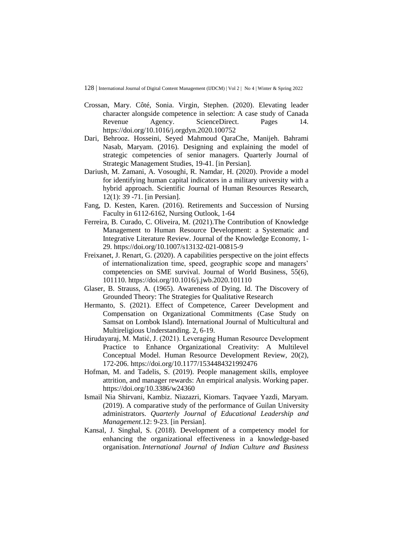- Crossan, Mary. Côté, Sonia. Virgin, Stephen. (2020). Elevating leader character alongside competence in selection: A case study of Canada Revenue Agency. ScienceDirect. Pages 14. <https://doi.org/10.1016/j.orgdyn.2020.100752>
- Dari, Behrooz. Hosseini, Seyed Mahmoud QaraChe, Manijeh. Bahrami Nasab, Maryam. (2016). Designing and explaining the model of strategic competencies of senior managers. Quarterly Journal of Strategic Management Studies, 19-41. [in Persian].
- Dariush, M. Zamani, A. Vosoughi, R. Namdar, H. (2020). Provide a model for identifying human capital indicators in a military university with a hybrid approach. Scientific Journal of Human Resources Research, 12(1): 39 -71. [in Persian].
- Fang, D. Kesten, Karen. (2016). Retirements and Succession of Nursing Faculty in 6112-6162, Nursing Outlook, 1-64
- Ferreira, B. Curado, C. Oliveira, M. (2021).The Contribution of Knowledge Management to Human Resource Development: a Systematic and Integrative Literature Review. Journal of the Knowledge Economy, 1- 29. <https://doi.org/10.1007/s13132-021-00815-9>
- Freixanet, J. Renart, G. (2020). A capabilities perspective on the joint effects of internationalization time, speed, geographic scope and managers' competencies on SME survival. Journal of World Business, 55(6), 101110. <https://doi.org/10.1016/j.jwb.2020.101110>
- Glaser, B. Strauss, A. (1965). Awareness of Dying. Id. The Discovery of Grounded Theory: The Strategies for Qualitative Research
- Hermanto, S. (2021). Effect of Competence, Career Development and Compensation on Organizational Commitments (Case Study on Samsat on Lombok Island). International Journal of Multicultural and Multireligious Understanding. 2, 6-19.
- Hirudayaraj, M. Matić, J. (2021). Leveraging Human Resource Development Practice to Enhance Organizational Creativity: A Multilevel Conceptual Model. Human Resource Development Review, 20(2), 172-206. <https://doi.org/10.1177/1534484321992476>
- Hofman, M. and Tadelis, S. (2019). People management skills, employee attrition, and manager rewards: An empirical analysis. Working paper. <https://doi.org/10.3386/w24360>
- Ismail Nia Shirvani, Kambiz. Niazazri, Kiomars. Taqvaee Yazdi, Maryam. (2019). A comparative study of the performance of Guilan University administrators. *Quarterly Journal of Educational Leadership and Management*.12: 9-23. [in Persian].
- Kansal, J. Singhal, S. (2018). Development of a competency model for enhancing the organizational effectiveness in a knowledge-based organisation. *International Journal of Indian Culture and Business*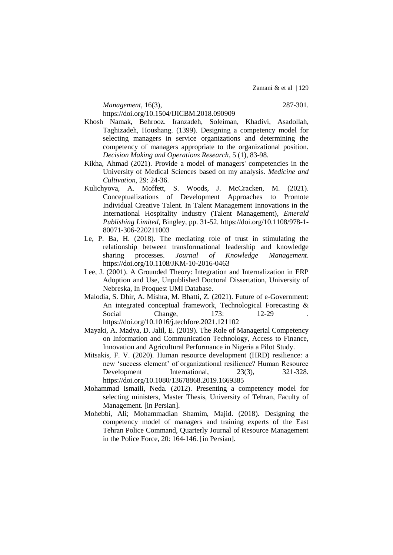Zamani & et al | 129

*Management*, 16(3), 287-301. <https://doi.org/10.1504/IJICBM.2018.090909>

- Khosh Namak, Behrooz. Iranzadeh, Soleiman, Khadivi, Asadollah, Taghizadeh, Houshang. (1399). Designing a competency model for selecting managers in service organizations and determining the competency of managers appropriate to the organizational position. *Decision Making and Operations Research*, 5 (1), 83-98.
- Kikha, Ahmad (2021). Provide a model of managers' competencies in the University of Medical Sciences based on my analysis. *Medicine and Cultivation*, 29: 24-36.
- Kulichyova, A. Moffett, S. Woods, J. McCracken, M. (2021). Conceptualizations of Development Approaches to Promote Individual Creative Talent. In Talent Management Innovations in the International Hospitality Industry (Talent Management), *Emerald Publishing Limited*, Bingley, pp. 31-52. [https://doi.org/10.1108/978-1-](https://doi.org/10.1108/978-1-80071-306-220211003) [80071-306-220211003](https://doi.org/10.1108/978-1-80071-306-220211003)
- Le, P. Ba, H. (2018). The mediating role of trust in stimulating the relationship between transformational leadership and knowledge sharing processes. *Journal of Knowledge Management*. <https://doi.org/10.1108/JKM-10-2016-0463>
- Lee, J. (2001). A Grounded Theory: Integration and Internalization in ERP Adoption and Use, Unpublished Doctoral Dissertation, University of Nebreska, In Proquest UMI Database.
- Malodia, S. Dhir, A. Mishra, M. Bhatti, Z. (2021). Future of e-Government: An integrated conceptual framework, Technological Forecasting & Social Change, 173: 12-29 <https://doi.org/10.1016/j.techfore.2021.121102>

- Mayaki, A. Madya, D. Jalil, E. (2019). The Role of Managerial Competency on Information and Communication Technology, Access to Finance, Innovation and Agricultural Performance in Nigeria a Pilot Study.
- Mitsakis, F. V. (2020). Human resource development (HRD) resilience: a new 'success element' of organizational resilience? Human Resource Development International, 23(3), 321-328. <https://doi.org/10.1080/13678868.2019.1669385>
- Mohammad Ismaili, Neda. (2012). Presenting a competency model for selecting ministers, Master Thesis, University of Tehran, Faculty of Management. [in Persian].
- Mohebbi, Ali; Mohammadian Shamim, Majid. (2018). Designing the competency model of managers and training experts of the East Tehran Police Command, Quarterly Journal of Resource Management in the Police Force, 20: 164-146. [in Persian].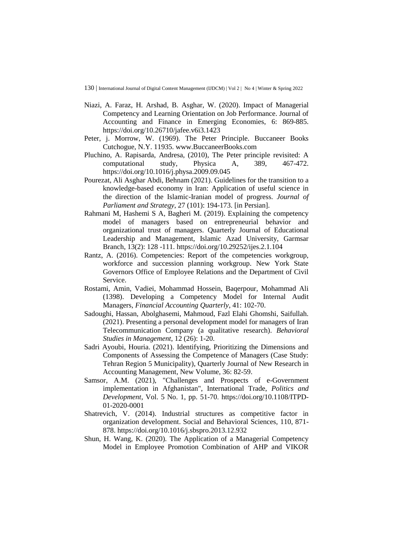- Niazi, A. Faraz, H. Arshad, B. Asghar, W. (2020). Impact of Managerial Competency and Learning Orientation on Job Performance. Journal of Accounting and Finance in Emerging Economies, 6: 869-885. <https://doi.org/10.26710/jafee.v6i3.1423>
- Peter, j. Morrow, W. (1969). The Peter Principle. Buccaneer Books Cutchogue, N.Y. 11935. www.BuccaneerBooks.com
- Pluchino, A. Rapisarda, Andresa, (2010), The Peter principle revisited: A computational study, Physica A, 389, 467-472. <https://doi.org/10.1016/j.physa.2009.09.045>
- Pourezat, Ali Asghar Abdi, Behnam (2021). Guidelines for the transition to a knowledge-based economy in Iran: Application of useful science in the direction of the Islamic-Iranian model of progress. *Journal of Parliament and Strategy*, 27 (101): 194-173. [in Persian].
- Rahmani M, Hashemi S A, Bagheri M. (2019). Explaining the competency model of managers based on entrepreneurial behavior and organizational trust of managers. Quarterly Journal of Educational Leadership and Management, Islamic Azad University, Garmsar Branch, 13(2): 128 -111. <https://doi.org/10.29252/ijes.2.1.104>
- Rantz, A. (2016). Competencies: Report of the competencies workgroup, workforce and succession planning workgroup. New York State Governors Office of Employee Relations and the Department of Civil Service.
- Rostami, Amin, Vadiei, Mohammad Hossein, Baqerpour, Mohammad Ali (1398). Developing a Competency Model for Internal Audit Managers, *Financial Accounting Quarterly*, 41: 102-70.
- Sadoughi, Hassan, Abolghasemi, Mahmoud, Fazl Elahi Ghomshi, Saifullah. (2021). Presenting a personal development model for managers of Iran Telecommunication Company (a qualitative research). *Behavioral Studies in Management*, 12 (26): 1-20.
- Sadri Ayoubi, Houria. (2021). Identifying, Prioritizing the Dimensions and Components of Assessing the Competence of Managers (Case Study: Tehran Region 5 Municipality), Quarterly Journal of New Research in Accounting Management, New Volume, 36: 82-59.
- Samsor, A.M. (2021), "Challenges and Prospects of e-Government implementation in Afghanistan", International Trade, *Politics and Development*, Vol. 5 No. 1, pp. 51-70. [https://doi.org/10.1108/ITPD-](https://doi.org/10.1108/ITPD-01-2020-0001)[01-2020-0001](https://doi.org/10.1108/ITPD-01-2020-0001)
- Shatrevich, V. (2014). Industrial structures as competitive factor in organization development. Social and Behavioral Sciences, 110, 871- 878. <https://doi.org/10.1016/j.sbspro.2013.12.932>
- Shun, H. Wang, K. (2020). The Application of a Managerial Competency Model in Employee Promotion Combination of AHP and VIKOR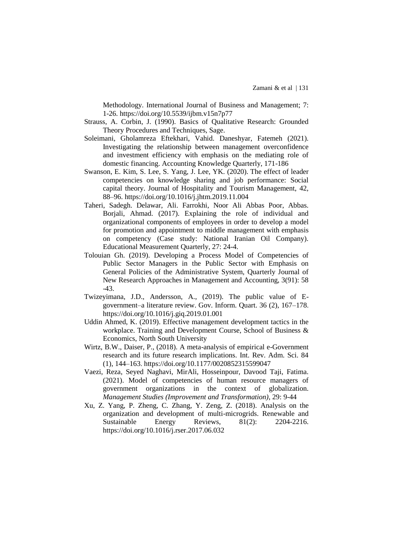Methodology. International Journal of Business and Management; 7: 1-26. <https://doi.org/10.5539/ijbm.v15n7p77>

- Strauss, A. Corbin, J. (1990). Basics of Qualitative Research: Grounded Theory Procedures and Techniques, Sage.
- Soleimani, Gholamreza Eftekhari, Vahid. Daneshyar, Fatemeh (2021). Investigating the relationship between management overconfidence and investment efficiency with emphasis on the mediating role of domestic financing. Accounting Knowledge Quarterly, 171-186
- Swanson, E. Kim, S. Lee, S. Yang, J. Lee, YK. (2020). The effect of leader competencies on knowledge sharing and job performance: Social capital theory. Journal of Hospitality and Tourism Management, 42, 88–96. <https://doi.org/10.1016/j.jhtm.2019.11.004>
- Taheri, Sadegh. Delawar, Ali. Farrokhi, Noor Ali Abbas Poor, Abbas. Borjali, Ahmad. (2017). Explaining the role of individual and organizational components of employees in order to develop a model for promotion and appointment to middle management with emphasis on competency (Case study: National Iranian Oil Company). Educational Measurement Quarterly, 27: 24-4.
- Tolouian Gh. (2019). Developing a Process Model of Competencies of Public Sector Managers in the Public Sector with Emphasis on General Policies of the Administrative System, Quarterly Journal of New Research Approaches in Management and Accounting, 3(91): 58 -43.
- Twizeyimana, J.D., Andersson, A., (2019). The public value of Egovernment–a literature review. Gov. Inform. Quart. 36 (2), 167–178. <https://doi.org/10.1016/j.giq.2019.01.001>
- Uddin Ahmed, K. (2019). Effective management development tactics in the workplace. Training and Development Course, School of Business & Economics, North South University
- Wirtz, B.W., Daiser, P., (2018). A meta-analysis of empirical e-Government research and its future research implications. Int. Rev. Adm. Sci. 84 (1), 144–163. <https://doi.org/10.1177/0020852315599047>
- Vaezi, Reza, Seyed Naghavi, MirAli, Hosseinpour, Davood Taji, Fatima. (2021). Model of competencies of human resource managers of government organizations in the context of globalization. *Management Studies (Improvement and Transformation)*, 29: 9-44
- Xu, Z. Yang, P. Zheng, C. Zhang, Y. Zeng, Z. (2018). Analysis on the organization and development of multi-microgrids. Renewable and Sustainable Energy Reviews,  $81(2)$ : 2204-2216. <https://doi.org/10.1016/j.rser.2017.06.032>